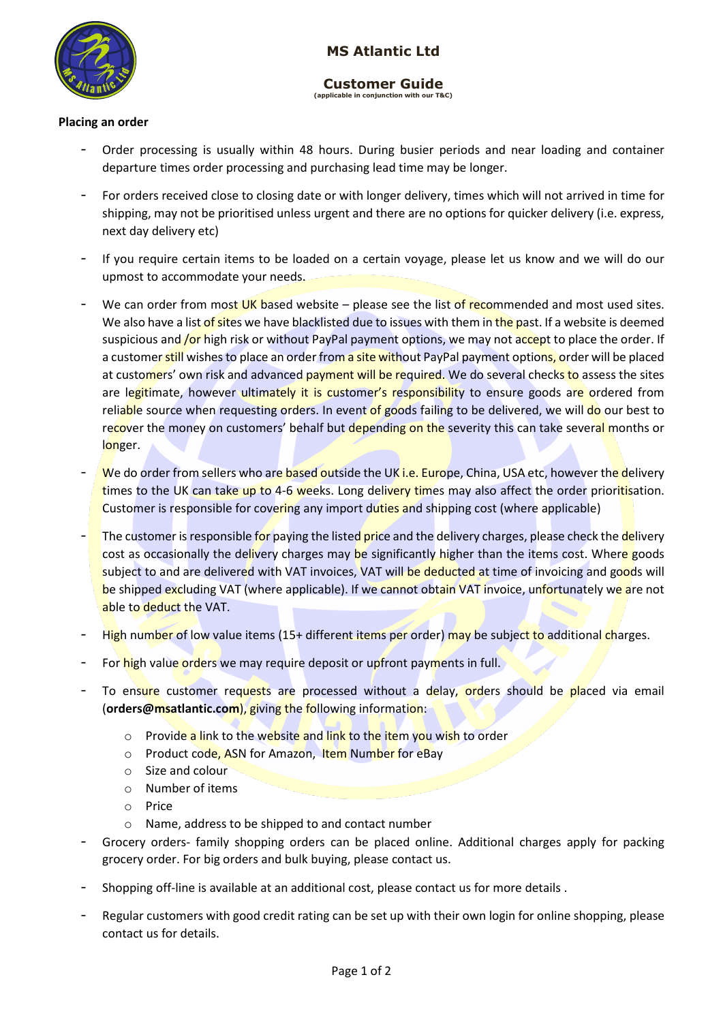

# **MS Atlantic Ltd**

#### **Customer Guide (applicable in conjunction with our**

# **Placing an order**

- Order processing is usually within 48 hours. During busier periods and near loading and container departure times order processing and purchasing lead time may be longer.
- For orders received close to closing date or with longer delivery, times which will not arrived in time for shipping, may not be prioritised unless urgent and there are no options for quicker delivery (i.e. express, next day delivery etc)
- If you require certain items to be loaded on a certain voyage, please let us know and we will do our upmost to accommodate your needs.
- We can order from most UK based website please see the list of recommended and most used sites. We also have a list of sites we have blacklisted due to issues with them in the past. If a website is deemed suspicious and **/or** high risk or without PayPal payment options, we may not accept to place the order. If a customer still wishes to place an order from a site without PayPal payment options, order will be placed at customers' own risk and advanced payment will be required. We do several checks to assess the sites are legitimate, however ultimately it is customer's responsibility to ensure goods are ordered from reliable source when requesting orders. In event of goods failing to be delivered, we will do our best to recover the money on customers' behalf but depending on the severity this can take several months or longer.
- We do order from sellers who are based outside the UK i.e. Europe, China, USA etc, however the delivery times to the UK can take up to 4-6 weeks. Long delivery times may also affect the order prioritisation. Customer is responsible for covering any import duties and shipping cost (where applicable)
- The customer is responsible for paying the listed price and the delivery charges, please check the delivery cost as occasionally the delivery charges may be significantly higher than the items cost. Where goods subject to and are delivered with VAT invoices, VAT will be deducted at time of invoicing and goods will be shipped excluding VAT (where applicable). If we cannot obtain VAT invoice, unfortunately we are not able to deduct the VAT.
- High number of low value items (15+ different items per order) may be subject to additional charges.
- For high value orders we may require deposit or upfront payments in full.
- To ensure customer requests are processed without a delay, orders should be placed via email (**orders@msatlantic.com**), giving the following information:
	- $\circ$  Provide a link to the website and link to the item you wish to order
	- o Product code, ASN for Amazon, Item Number for eBay
	- o Size and colour
	- o Number of items
	- o Price
	- o Name, address to be shipped to and contact number
- Grocery orders- family shopping orders can be placed online. Additional charges apply for packing grocery order. For big orders and bulk buying, please contact us.
- Shopping off-line is available at an additional cost, please contact us for more details .
- Regular customers with good credit rating can be set up with their own login for online shopping, please contact us for details.